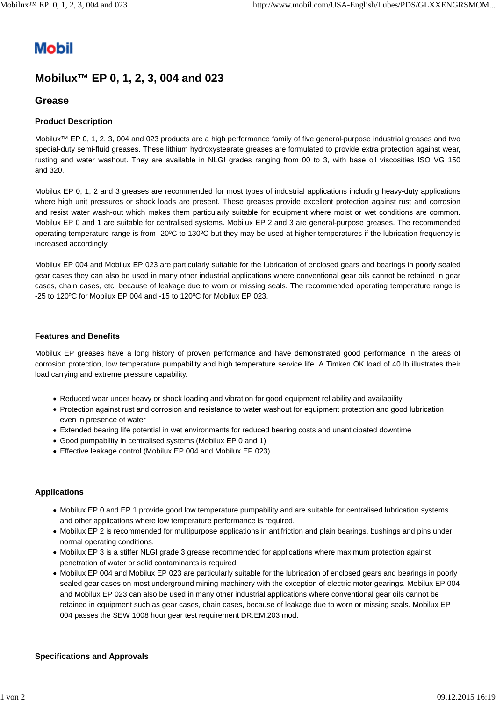# **Mobil**

# **Mobilux™ EP 0, 1, 2, 3, 004 and 023**

## **Grease**

### **Product Description**

Mobilux™ EP 0, 1, 2, 3, 004 and 023 products are a high performance family of five general-purpose industrial greases and two special-duty semi-fluid greases. These lithium hydroxystearate greases are formulated to provide extra protection against wear, rusting and water washout. They are available in NLGI grades ranging from 00 to 3, with base oil viscosities ISO VG 150 and 320.

Mobilux EP 0, 1, 2 and 3 greases are recommended for most types of industrial applications including heavy-duty applications where high unit pressures or shock loads are present. These greases provide excellent protection against rust and corrosion and resist water wash-out which makes them particularly suitable for equipment where moist or wet conditions are common. Mobilux EP 0 and 1 are suitable for centralised systems. Mobilux EP 2 and 3 are general-purpose greases. The recommended operating temperature range is from -20ºC to 130ºC but they may be used at higher temperatures if the lubrication frequency is increased accordingly.

Mobilux EP 004 and Mobilux EP 023 are particularly suitable for the lubrication of enclosed gears and bearings in poorly sealed gear cases they can also be used in many other industrial applications where conventional gear oils cannot be retained in gear cases, chain cases, etc. because of leakage due to worn or missing seals. The recommended operating temperature range is -25 to 120ºC for Mobilux EP 004 and -15 to 120ºC for Mobilux EP 023.

#### **Features and Benefits**

Mobilux EP greases have a long history of proven performance and have demonstrated good performance in the areas of corrosion protection, low temperature pumpability and high temperature service life. A Timken OK load of 40 lb illustrates their load carrying and extreme pressure capability.

- Reduced wear under heavy or shock loading and vibration for good equipment reliability and availability
- Protection against rust and corrosion and resistance to water washout for equipment protection and good lubrication even in presence of water
- Extended bearing life potential in wet environments for reduced bearing costs and unanticipated downtime
- Good pumpability in centralised systems (Mobilux EP 0 and 1)
- Effective leakage control (Mobilux EP 004 and Mobilux EP 023)

#### **Applications**

- Mobilux EP 0 and EP 1 provide good low temperature pumpability and are suitable for centralised lubrication systems and other applications where low temperature performance is required.
- Mobilux EP 2 is recommended for multipurpose applications in antifriction and plain bearings, bushings and pins under normal operating conditions.
- Mobilux EP 3 is a stiffer NLGI grade 3 grease recommended for applications where maximum protection against penetration of water or solid contaminants is required.
- Mobilux EP 004 and Mobilux EP 023 are particularly suitable for the lubrication of enclosed gears and bearings in poorly sealed gear cases on most underground mining machinery with the exception of electric motor gearings. Mobilux EP 004 and Mobilux EP 023 can also be used in many other industrial applications where conventional gear oils cannot be retained in equipment such as gear cases, chain cases, because of leakage due to worn or missing seals. Mobilux EP 004 passes the SEW 1008 hour gear test requirement DR.EM.203 mod.

#### **Specifications and Approvals**